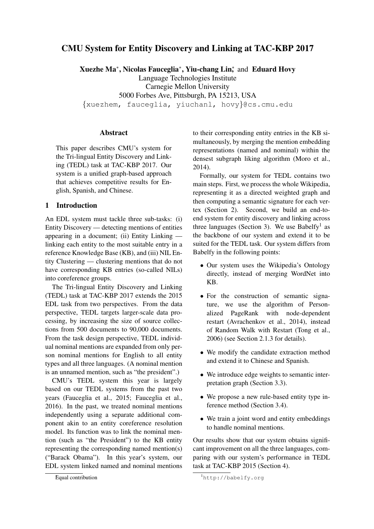# CMU System for Entity Discovery and Linking at TAC-KBP 2017

Xuezhe Ma<sup>∗</sup> , Nicolas Fauceglia<sup>∗</sup> , Yiu-chang Lin<sup>∗</sup> , and Eduard Hovy Language Technologies Institute Carnegie Mellon University 5000 Forbes Ave, Pittsburgh, PA 15213, USA

{xuezhem, fauceglia, yiuchanl, hovy}@cs.cmu.edu

### Abstract

This paper describes CMU's system for the Tri-lingual Entity Discovery and Linking (TEDL) task at TAC-KBP 2017. Our system is a unified graph-based approach that achieves competitive results for English, Spanish, and Chinese.

### 1 Introduction

An EDL system must tackle three sub-tasks: (i) Entity Discovery — detecting mentions of entities appearing in a document; (ii) Entity Linking linking each entity to the most suitable entry in a reference Knowledge Base (KB), and (iii) NIL Entity Clustering — clustering mentions that do not have corresponding KB entries (so-called NILs) into coreference groups.

The Tri-lingual Entity Discovery and Linking (TEDL) task at TAC-KBP 2017 extends the 2015 EDL task from two perspectives. From the data perspective, TEDL targets larger-scale data processing, by increasing the size of source collections from 500 documents to 90,000 documents. From the task design perspective, TEDL individual nominal mentions are expanded from only person nominal mentions for English to all entity types and all three languages. (A nominal mention is an unnamed mention, such as "the president".)

CMU's TEDL system this year is largely based on our TEDL systems from the past two years (Fauceglia et al., 2015; Fauceglia et al., 2016). In the past, we treated nominal mentions independently using a separate additional component akin to an entity coreference resolution model. Its function was to link the nominal mention (such as "the President") to the KB entity representing the corresponding named mention(s) ("Barack Obama"). In this year's system, our EDL system linked named and nominal mentions to their corresponding entity entries in the KB simultaneously, by merging the mention embedding representations (named and nominal) within the densest subgraph liking algorithm (Moro et al., 2014).

Formally, our system for TEDL contains two main steps. First, we process the whole Wikipedia, representing it as a directed weighted graph and then computing a semantic signature for each vertex (Section 2). Second, we build an end-toend system for entity discovery and linking across three languages (Section 3). We use Babelfy<sup>1</sup> as the backbone of our system and extend it to be suited for the TEDL task. Our system differs from Babelfy in the following points:

- Our system uses the Wikipedia's Ontology directly, instead of merging WordNet into KB.
- For the construction of semantic signature, we use the algorithm of Personalized PageRank with node-dependent restart (Avrachenkov et al., 2014), instead of Random Walk with Restart (Tong et al., 2006) (see Section 2.1.3 for details).
- We modify the candidate extraction method and extend it to Chinese and Spanish.
- We introduce edge weights to semantic interpretation graph (Section 3.3).
- We propose a new rule-based entity type inference method (Section 3.4).
- We train a joint word and entity embeddings to handle nominal mentions.

Our results show that our system obtains significant improvement on all the three languages, comparing with our system's performance in TEDL task at TAC-KBP 2015 (Section 4).

Equal contribution

<sup>1</sup>http://babelfy.org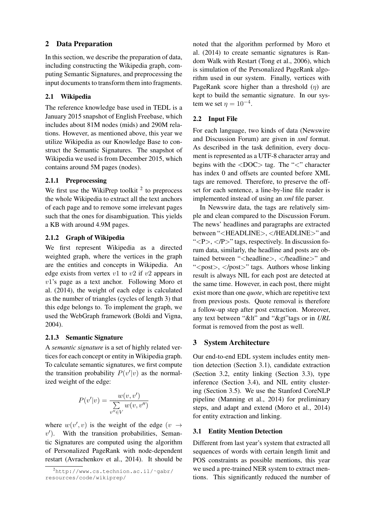## 2 Data Preparation

In this section, we describe the preparation of data, including constructing the Wikipedia graph, computing Semantic Signatures, and preprocessing the input documents to transform them into fragments.

### 2.1 Wikipedia

The reference knowledge base used in TEDL is a January 2015 snapshot of English Freebase, which includes about 81M nodes (mids) and 290M relations. However, as mentioned above, this year we utilize Wikipedia as our Knowledge Base to construct the Semantic Signatures. The snapshot of Wikipedia we used is from December 2015, which contains around 5M pages (nodes).

## 2.1.1 Preprocessing

We first use the WikiPrep toolkit  $2$  to preprocess the whole Wikipedia to extract all the text anchors of each page and to remove some irrelevant pages such that the ones for disambiguation. This yields a KB with around 4.9M pages.

## 2.1.2 Graph of Wikipedia

We first represent Wikipedia as a directed weighted graph, where the vertices in the graph are the entities and concepts in Wikipedia. An edge exists from vertex  $v1$  to  $v2$  if  $v2$  appears in v1's page as a text anchor. Following Moro et al. (2014), the weight of each edge is calculated as the number of triangles (cycles of length 3) that this edge belongs to. To implement the graph, we used the WebGraph framework (Boldi and Vigna, 2004).

## 2.1.3 Semantic Signature

A *semantic signature* is a set of highly related vertices for each concept or entity in Wikipedia graph. To calculate semantic signatures, we first compute the transition probability  $P(v'|v)$  as the normalized weight of the edge:

$$
P(v'|v) = \frac{w(v, v')}{\sum_{v'' \in V} w(v, v'')}
$$

where  $w(v', v)$  is the weight of the edge  $(v \rightarrow$  $v'$ ). With the transition probabilities, Semantic Signatures are computed using the algorithm of Personalized PageRank with node-dependent restart (Avrachenkov et al., 2014). It should be

noted that the algorithm performed by Moro et al. (2014) to create semantic signatures is Random Walk with Restart (Tong et al., 2006), which is simulation of the Personalized PageRank algorithm used in our system. Finally, vertices with PageRank score higher than a threshold  $(n)$  are kept to build the semantic signature. In our system we set  $\eta = 10^{-4}$ .

## 2.2 Input File

For each language, two kinds of data (Newswire and Discussion Forum) are given in *xml* format. As described in the task definition, every document is represented as a UTF-8 character array and begins with the  $\langle$ DOC $>$  tag. The " $\langle$ " character has index 0 and offsets are counted before XML tags are removed. Therefore, to preserve the offset for each sentence, a line-by-line file reader is implemented instead of using an *xml* file parser.

In Newswire data, the tags are relatively simple and clean compared to the Discussion Forum. The news' headlines and paragraphs are extracted between "<HEADLINE>, </HEADLINE>" and " $<$ P $>$ ,  $<$ /P $>$ " tags, respectively. In discussion forum data, similarly, the headline and posts are obtained between "<headline>, </headline>" and "<post>, </post>" tags. Authors whose linking result is always NIL for each post are detected at the same time. However, in each post, there might exist more than one *quote*, which are repetitive text from previous posts. Quote removal is therefore a follow-up step after post extraction. Moreover, any text between "&It" and "&gt"tags or in *URL* format is removed from the post as well.

## 3 System Architecture

Our end-to-end EDL system includes entity mention detection (Section 3.1), candidate extraction (Section 3.2, entity linking (Section 3.3), type inference (Section 3.4), and NIL entity clustering (Section 3.5). We use the Stanford CoreNLP pipeline (Manning et al., 2014) for preliminary steps, and adapt and extend (Moro et al., 2014) for entity extraction and linking.

## 3.1 Entity Mention Detection

Different from last year's system that extracted all sequences of words with certain length limit and POS constraints as possible mentions, this year we used a pre-trained NER system to extract mentions. This significantly reduced the number of

 $^{2}$ http://www.cs.technion.ac.il/~qabr/ resources/code/wikiprep/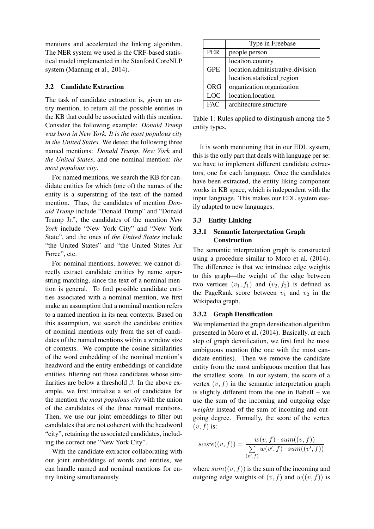mentions and accelerated the linking algorithm. The NER system we used is the CRF-based statistical model implemented in the Stanford CoreNLP system (Manning et al., 2014).

### 3.2 Candidate Extraction

The task of candidate extraction is, given an entity mention, to return all the possible entities in the KB that could be associated with this mention. Consider the following example: *Donald Trump was born in New York. It is the most populous city in the United States.* We detect the following three named mentions: *Donald Trump*, *New York* and *the United States*, and one nominal mention: *the most populous city*.

For named mentions, we search the KB for candidate entities for which (one of) the names of the entity is a superstring of the text of the named mention. Thus, the candidates of mention *Donald Trump* include "Donald Trump" and "Donald Trump Jr.", the candidates of the mention *New York* include "New York City" and "New York State", and the ones of *the United States* include "the United States" and "the United States Air Force", etc.

For nominal mentions, however, we cannot directly extract candidate entities by name superstring matching, since the text of a nominal mention is general. To find possible candidate entities associated with a nominal mention, we first make an assumption that a nominal mention refers to a named mention in its near contexts. Based on this assumption, we search the candidate entities of nominal mentions only from the set of candidates of the named mentions within a window size of contexts. We compute the cosine similarities of the word embedding of the nominal mention's headword and the entity embeddings of candidate entities, filtering out those candidates whose similarities are below a threshold  $\beta$ . In the above example, we first initialize a set of candidates for the mention *the most populous city* with the union of the candidates of the three named mentions. Then, we use our joint embeddings to filter out candidates that are not coherent with the headword "city", retaining the associated candidates, including the correct one "New York City".

With the candidate extractor collaborating with our joint embeddings of words and entities, we can handle named and nominal mentions for entity linking simultaneously.

|            | Type in Freebase                 |  |  |  |  |  |
|------------|----------------------------------|--|--|--|--|--|
| <b>PER</b> | people.person                    |  |  |  |  |  |
|            | location.country                 |  |  |  |  |  |
| <b>GPE</b> | location.administrative_division |  |  |  |  |  |
|            | location.statistical_region      |  |  |  |  |  |
| <b>ORG</b> | organization.organization        |  |  |  |  |  |
| <b>LOC</b> | location.location                |  |  |  |  |  |
| FAC        | architecture.structure           |  |  |  |  |  |

Table 1: Rules applied to distinguish among the 5 entity types.

It is worth mentioning that in our EDL system, this is the only part that deals with language per se: we have to implement different candidate extractors, one for each language. Once the candidates have been extracted, the entity liking component works in KB space, which is independent with the input language. This makes our EDL system easily adapted to new languages.

### 3.3 Entity Linking

### 3.3.1 Semantic Interpretation Graph **Construction**

The semantic interpretation graph is constructed using a procedure similar to Moro et al. (2014). The difference is that we introduce edge weights to this graph—the weight of the edge between two vertices  $(v_1, f_1)$  and  $(v_2, f_2)$  is defined as the PageRank score between  $v_1$  and  $v_2$  in the Wikipedia graph.

#### 3.3.2 Graph Densification

We implemented the graph densification algorithm presented in Moro et al. (2014). Basically, at each step of graph densification, we first find the most ambiguous mention (the one with the most candidate entities). Then we remove the candidate entity from the most ambiguous mention that has the smallest score. In our system, the score of a vertex  $(v, f)$  in the semantic interpretation graph is slightly different from the one in Babelf – we use the sum of the incoming and outgoing edge *weights* instead of the sum of incoming and outgoing degree. Formally, the score of the vertex  $(v, f)$  is:

$$
score((v, f)) = \frac{w(v, f) \cdot sum((v, f))}{\sum_{(v', f)} w(v', f) \cdot sum((v', f))}
$$

where  $sum((v, f))$  is the sum of the incoming and outgoing edge weights of  $(v, f)$  and  $w((v, f))$  is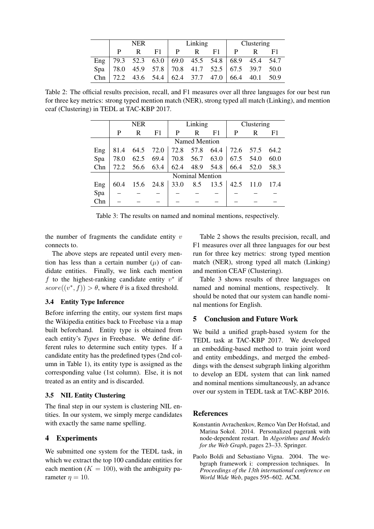|     | <b>NER</b> |  |    | Linking |    |                                                                     | Clustering |  |      |
|-----|------------|--|----|---------|----|---------------------------------------------------------------------|------------|--|------|
|     |            |  | F1 | P       | R. | F1.                                                                 |            |  | F1   |
|     |            |  |    |         |    | Eng   79.3 52.3 63.0   69.0 45.5 54.8   68.9 $\overline{45.4}$ 54.7 |            |  |      |
|     |            |  |    |         |    | Spa 78.0 45.9 57.8 70.8 41.7 52.5 67.5 39.7 50.0                    |            |  |      |
| Chn |            |  |    |         |    | 72.2 43.6 54.4 62.4 37.7 47.0 66.4 40.1                             |            |  | 50.9 |

Table 2: The official results precision, recall, and F1 measures over all three languages for our best run for three key metrics: strong typed mention match (NER), strong typed all match (Linking), and mention ceaf (Clustering) in TEDL at TAC-KBP 2017.

|     | <b>NER</b>             |      |                | Linking |      |      | Clustering |      |                |  |
|-----|------------------------|------|----------------|---------|------|------|------------|------|----------------|--|
|     | P                      | R    | F <sub>1</sub> | P       | R    | F1   | P          | R    | F <sub>1</sub> |  |
|     | Named Mention          |      |                |         |      |      |            |      |                |  |
| Eng | 81.4                   | 64.5 | 72.0           | 72.8    | 57.8 | 64.4 | 72.6       | 57.5 | 64.2           |  |
| Spa | 78.0                   | 62.5 | 69.4           | 70.8    | 56.7 | 63.0 | 67.5       | 54.0 | 60.0           |  |
| Chn | 72.2                   | 56.6 | 63.4           | 62.4    | 48.9 | 54.8 | 66.4       | 52.0 | 58.3           |  |
|     | <b>Nominal Mention</b> |      |                |         |      |      |            |      |                |  |
| Eng | 60.4                   |      | 15.6 24.8      | 33.0    | 8.5  | 13.5 | 42.5       | 11.0 | 17.4           |  |
| Spa |                        |      |                |         |      |      |            |      |                |  |
| Chn |                        |      |                |         |      |      |            |      |                |  |

Table 3: The results on named and nominal mentions, respectively.

the number of fragments the candidate entity  $v$ connects to.

The above steps are repeated until every mention has less than a certain number  $(\mu)$  of candidate entities. Finally, we link each mention f to the highest-ranking candidate entity  $v^*$  if  $score((v^*, f)) > \theta$ , where  $\theta$  is a fixed threshold.

### 3.4 Entity Type Inference

Before inferring the entity, our system first maps the Wikipedia entities back to Freebase via a map built beforehand. Entity type is obtained from each entity's *Types* in Freebase. We define different rules to determine such entity types. If a candidate entity has the predefined types (2nd column in Table 1), its entity type is assigned as the corresponding value (1st column). Else, it is not treated as an entity and is discarded.

### 3.5 NIL Entity Clustering

The final step in our system is clustering NIL entities. In our system, we simply merge candidates with exactly the same name spelling.

### 4 Experiments

We submitted one system for the TEDL task, in which we extract the top 100 candidate entities for each mention ( $K = 100$ ), with the ambiguity parameter  $\eta = 10$ .

Table 2 shows the results precision, recall, and F1 measures over all three languages for our best run for three key metrics: strong typed mention match (NER), strong typed all match (Linking) and mention CEAF (Clustering).

Table 3 shows results of three languages on named and nominal mentions, respectively. It should be noted that our system can handle nominal mentions for English.

### 5 Conclusion and Future Work

We build a unified graph-based system for the TEDL task at TAC-KBP 2017. We developed an embedding-based method to train joint word and entity embeddings, and merged the embeddings with the densest subgraph linking algorithm to develop an EDL system that can link named and nominal mentions simultaneously, an advance over our system in TEDL task at TAC-KBP 2016.

### **References**

- Konstantin Avrachenkov, Remco Van Der Hofstad, and Marina Sokol. 2014. Personalized pagerank with node-dependent restart. In *Algorithms and Models for the Web Graph*, pages 23–33. Springer.
- Paolo Boldi and Sebastiano Vigna. 2004. The webgraph framework i: compression techniques. In *Proceedings of the 13th international conference on World Wide Web*, pages 595–602. ACM.